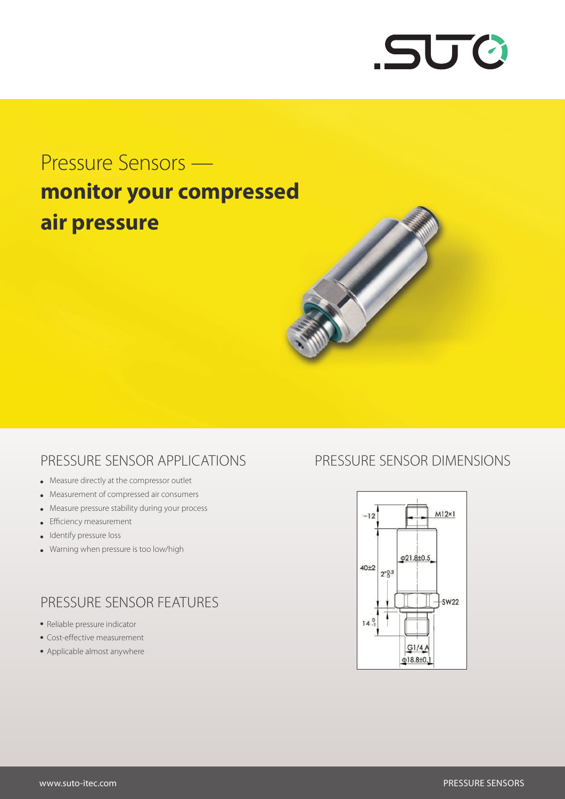

# Pressure Sensors **monitor your compressed air pressure**



#### PRESSURE SENSOR APPLICATIONS

- Measure directly at the compressor outlet
- Measurement of compressed air consumers
- Measure pressure stability during your process
- **•** Efficiency measurement
- Identify pressure loss
- Warning when pressure is too low/high

### PRESSURE SENSOR FEATURES

- Reliable pressure indicator
- Cost-effective measurement
- Applicable almost anywhere

#### PRESSURE SENSOR DIMENSIONS